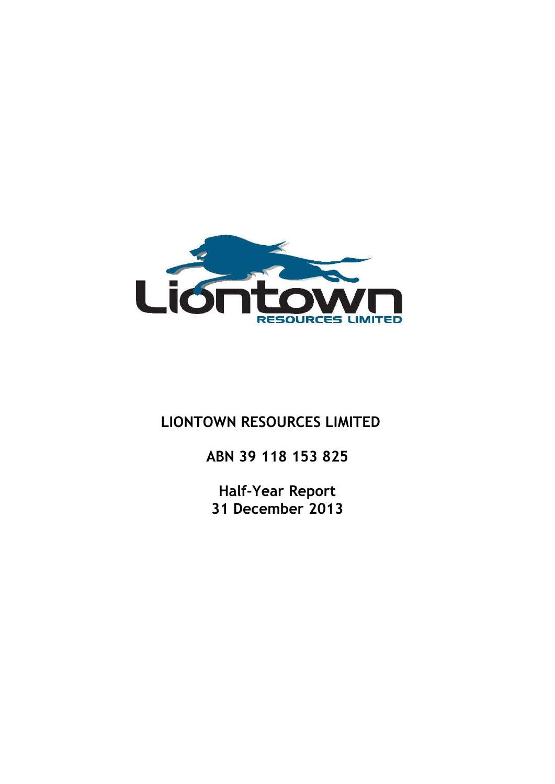

# **LIONTOWN RESOURCES LIMITED**

**ABN 39 118 153 825**

**Half-Year Report 31 December 2013**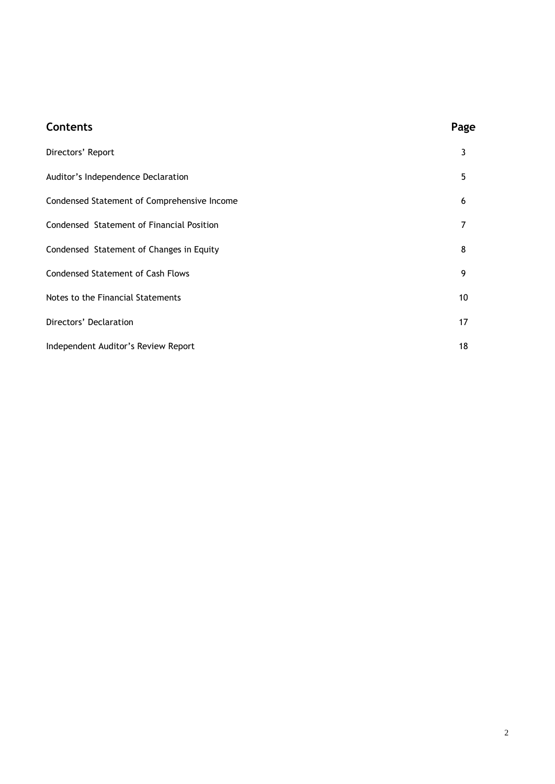| <b>Contents</b>                             | Page |
|---------------------------------------------|------|
| Directors' Report                           | 3    |
| Auditor's Independence Declaration          | 5    |
| Condensed Statement of Comprehensive Income | 6    |
| Condensed Statement of Financial Position   | 7    |
| Condensed Statement of Changes in Equity    | 8    |
| <b>Condensed Statement of Cash Flows</b>    | 9    |
| Notes to the Financial Statements           | 10   |
| Directors' Declaration                      | 17   |
| Independent Auditor's Review Report         | 18   |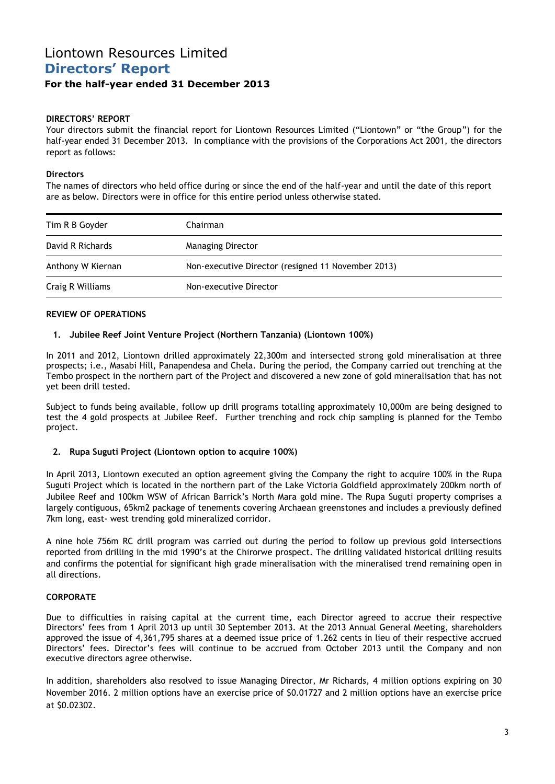# Liontown Resources Limited **Directors' Report**

## **For the half-year ended 31 December 2013**

## **DIRECTORS' REPORT**

Your directors submit the financial report for Liontown Resources Limited ("Liontown" or "the Group") for the half-year ended 31 December 2013. In compliance with the provisions of the Corporations Act 2001, the directors report as follows:

## **Directors**

The names of directors who held office during or since the end of the half-year and until the date of this report are as below. Directors were in office for this entire period unless otherwise stated.

| Tim R B Goyder    | Chairman                                           |  |
|-------------------|----------------------------------------------------|--|
| David R Richards  | <b>Managing Director</b>                           |  |
| Anthony W Kiernan | Non-executive Director (resigned 11 November 2013) |  |
| Craig R Williams  | Non-executive Director                             |  |

## **REVIEW OF OPERATIONS**

## **1. Jubilee Reef Joint Venture Project (Northern Tanzania) (Liontown 100%)**

In 2011 and 2012, Liontown drilled approximately 22,300m and intersected strong gold mineralisation at three prospects; i.e., Masabi Hill, Panapendesa and Chela. During the period, the Company carried out trenching at the Tembo prospect in the northern part of the Project and discovered a new zone of gold mineralisation that has not yet been drill tested.

Subject to funds being available, follow up drill programs totalling approximately 10,000m are being designed to test the 4 gold prospects at Jubilee Reef. Further trenching and rock chip sampling is planned for the Tembo project.

## **2. Rupa Suguti Project (Liontown option to acquire 100%)**

In April 2013, Liontown executed an option agreement giving the Company the right to acquire 100% in the Rupa Suguti Project which is located in the northern part of the Lake Victoria Goldfield approximately 200km north of Jubilee Reef and 100km WSW of African Barrick's North Mara gold mine. The Rupa Suguti property comprises a largely contiguous, 65km2 package of tenements covering Archaean greenstones and includes a previously defined 7km long, east- west trending gold mineralized corridor.

A nine hole 756m RC drill program was carried out during the period to follow up previous gold intersections reported from drilling in the mid 1990's at the Chirorwe prospect. The drilling validated historical drilling results and confirms the potential for significant high grade mineralisation with the mineralised trend remaining open in all directions.

## **CORPORATE**

Due to difficulties in raising capital at the current time, each Director agreed to accrue their respective Directors' fees from 1 April 2013 up until 30 September 2013. At the 2013 Annual General Meeting, shareholders approved the issue of 4,361,795 shares at a deemed issue price of 1.262 cents in lieu of their respective accrued Directors' fees. Director's fees will continue to be accrued from October 2013 until the Company and non executive directors agree otherwise.

In addition, shareholders also resolved to issue Managing Director, Mr Richards, 4 million options expiring on 30 November 2016. 2 million options have an exercise price of \$0.01727 and 2 million options have an exercise price at \$0.02302.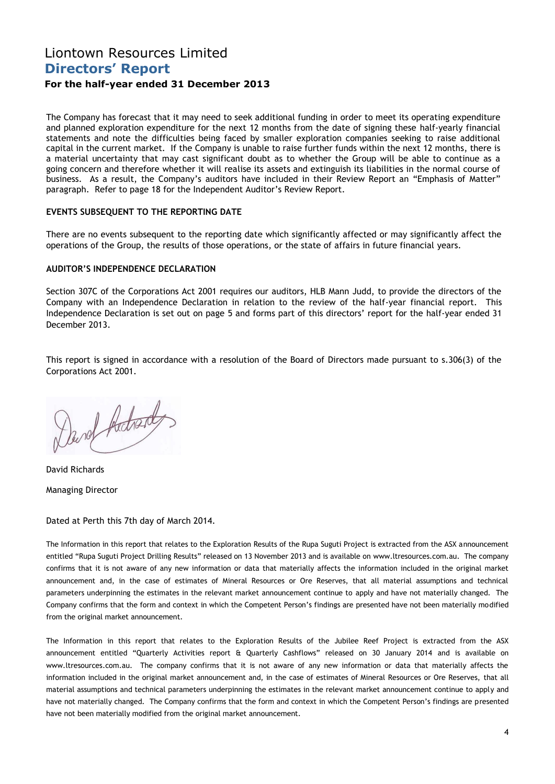# Liontown Resources Limited **Directors' Report**

## **For the half-year ended 31 December 2013**

The Company has forecast that it may need to seek additional funding in order to meet its operating expenditure and planned exploration expenditure for the next 12 months from the date of signing these half-yearly financial statements and note the difficulties being faced by smaller exploration companies seeking to raise additional capital in the current market. If the Company is unable to raise further funds within the next 12 months, there is a material uncertainty that may cast significant doubt as to whether the Group will be able to continue as a going concern and therefore whether it will realise its assets and extinguish its liabilities in the normal course of business. As a result, the Company's auditors have included in their Review Report an "Emphasis of Matter" paragraph. Refer to page 18 for the Independent Auditor's Review Report.

### **EVENTS SUBSEQUENT TO THE REPORTING DATE**

There are no events subsequent to the reporting date which significantly affected or may significantly affect the operations of the Group, the results of those operations, or the state of affairs in future financial years.

### **AUDITOR'S INDEPENDENCE DECLARATION**

Section 307C of the Corporations Act 2001 requires our auditors, HLB Mann Judd, to provide the directors of the Company with an Independence Declaration in relation to the review of the half-year financial report. This Independence Declaration is set out on page 5 and forms part of this directors' report for the half-year ended 31 December 2013.

This report is signed in accordance with a resolution of the Board of Directors made pursuant to s.306(3) of the Corporations Act 2001.

David Advance

David Richards

Managing Director

Dated at Perth this 7th day of March 2014.

The Information in this report that relates to the Exploration Results of the Rupa Suguti Project is extracted from the ASX announcement entitled "Rupa Suguti Project Drilling Results" released on 13 November 2013 and is available on [www.ltresources.com.au.](http://www.ltresources.com.au/) The company confirms that it is not aware of any new information or data that materially affects the information included in the original market announcement and, in the case of estimates of Mineral Resources or Ore Reserves, that all material assumptions and technical parameters underpinning the estimates in the relevant market announcement continue to apply and have not materially changed. The Company confirms that the form and context in which the Competent Person's findings are presented have not been materially modified from the original market announcement.

The Information in this report that relates to the Exploration Results of the Jubilee Reef Project is extracted from the ASX announcement entitled "Quarterly Activities report & Quarterly Cashflows" released on 30 January 2014 and is available on [www.ltresources.com.au.](http://www.ltresources.com.au/) The company confirms that it is not aware of any new information or data that materially affects the information included in the original market announcement and, in the case of estimates of Mineral Resources or Ore Reserves, that all material assumptions and technical parameters underpinning the estimates in the relevant market announcement continue to apply and have not materially changed. The Company confirms that the form and context in which the Competent Person's findings are presented have not been materially modified from the original market announcement.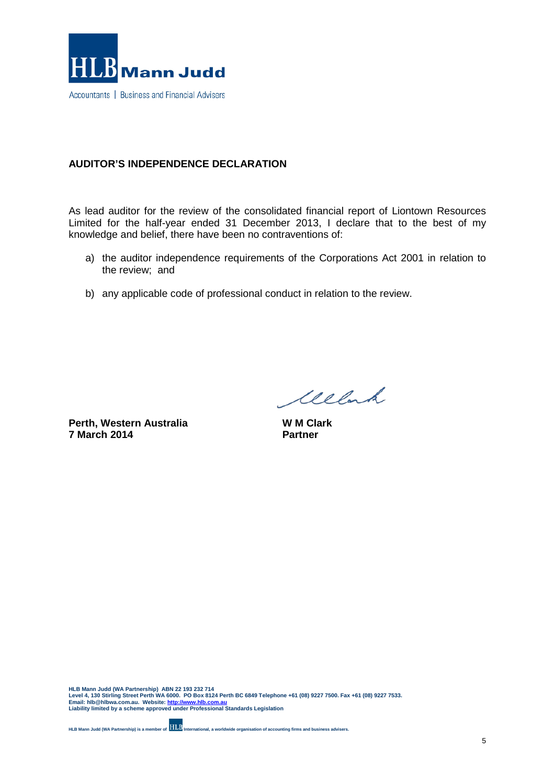

## **AUDITOR'S INDEPENDENCE DECLARATION**

As lead auditor for the review of the consolidated financial report of Liontown Resources Limited for the half-year ended 31 December 2013, I declare that to the best of my knowledge and belief, there have been no contraventions of:

- a) the auditor independence requirements of the Corporations Act 2001 in relation to the review; and
- b) any applicable code of professional conduct in relation to the review.

**Perth, Western Australia 7 March 2014**

Welch

**W M Clark Partner**

**HLB Mann Judd (WA Partnership) ABN 22 193 232 714 Level 4, 130 Stirling Street Perth WA 6000. PO Box 8124 Perth BC 6849 Telephone +61 (08) 9227 7500. Fax +61 (08) 9227 7533. Email: hlb@hlbwa.com.au. Website[: http://www.hlb.com.au](http://www.hlb.com.au/) Liability limited by a scheme approved under Professional Standards Legislation**

**HLB Mann Judd (WA Partnership) is a member of International, a worldwide organisation of accounting firms and business advisers.**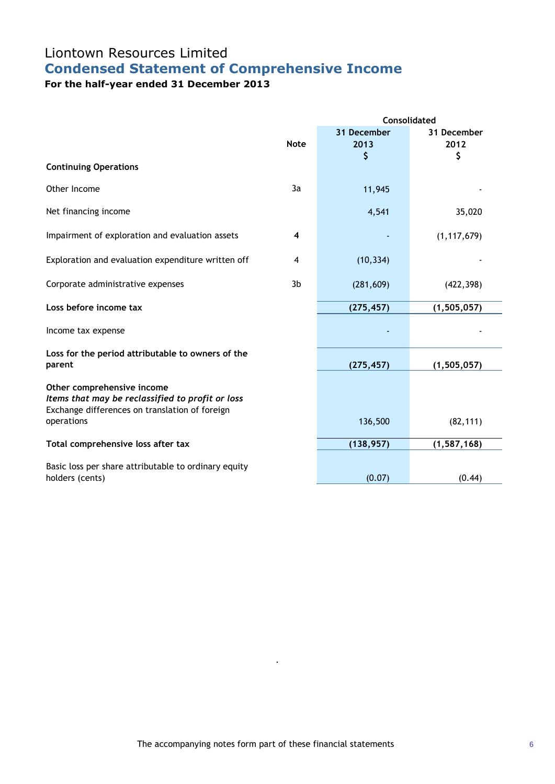# Liontown Resources Limited **Condensed Statement of Comprehensive Income**

**For the half-year ended 31 December 2013**

|                                                                                                                                  |                | <b>Consolidated</b>       |                           |  |  |
|----------------------------------------------------------------------------------------------------------------------------------|----------------|---------------------------|---------------------------|--|--|
|                                                                                                                                  | <b>Note</b>    | 31 December<br>2013<br>\$ | 31 December<br>2012<br>\$ |  |  |
| <b>Continuing Operations</b>                                                                                                     |                |                           |                           |  |  |
| Other Income                                                                                                                     | 3a             | 11,945                    |                           |  |  |
| Net financing income                                                                                                             |                | 4,541                     | 35,020                    |  |  |
| Impairment of exploration and evaluation assets                                                                                  | 4              |                           | (1, 117, 679)             |  |  |
| Exploration and evaluation expenditure written off                                                                               | 4              | (10, 334)                 |                           |  |  |
| Corporate administrative expenses                                                                                                | 3 <sub>b</sub> | (281, 609)                | (422, 398)                |  |  |
| Loss before income tax                                                                                                           |                | (275, 457)                | (1, 505, 057)             |  |  |
| Income tax expense                                                                                                               |                |                           |                           |  |  |
| Loss for the period attributable to owners of the<br>parent                                                                      |                | (275, 457)                | (1, 505, 057)             |  |  |
| Other comprehensive income<br>Items that may be reclassified to profit or loss<br>Exchange differences on translation of foreign |                |                           |                           |  |  |
| operations                                                                                                                       |                | 136,500                   | (82, 111)                 |  |  |
| Total comprehensive loss after tax                                                                                               |                | (138, 957)                | (1, 587, 168)             |  |  |
| Basic loss per share attributable to ordinary equity<br>holders (cents)                                                          |                | (0.07)                    | (0.44)                    |  |  |

.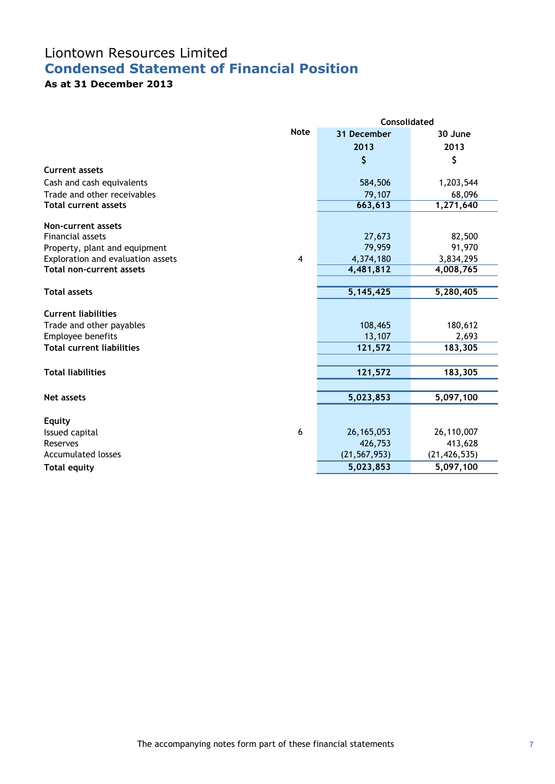# Liontown Resources Limited **Condensed Statement of Financial Position**

## **As at 31 December 2013**

|                                   |                | <b>Consolidated</b> |                |  |  |
|-----------------------------------|----------------|---------------------|----------------|--|--|
|                                   | <b>Note</b>    | 31 December         | 30 June        |  |  |
|                                   |                | 2013                | 2013           |  |  |
|                                   |                | \$                  | \$             |  |  |
| <b>Current assets</b>             |                |                     |                |  |  |
| Cash and cash equivalents         |                | 584,506             | 1,203,544      |  |  |
| Trade and other receivables       |                | 79,107              | 68,096         |  |  |
| <b>Total current assets</b>       |                | 663,613             | 1,271,640      |  |  |
| Non-current assets                |                |                     |                |  |  |
| <b>Financial assets</b>           |                | 27,673              | 82,500         |  |  |
| Property, plant and equipment     |                | 79,959              | 91,970         |  |  |
| Exploration and evaluation assets | $\overline{4}$ | 4,374,180           | 3,834,295      |  |  |
| <b>Total non-current assets</b>   |                | 4,481,812           | 4,008,765      |  |  |
|                                   |                |                     |                |  |  |
| <b>Total assets</b>               |                | 5,145,425           | 5,280,405      |  |  |
| <b>Current liabilities</b>        |                |                     |                |  |  |
| Trade and other payables          |                | 108,465             | 180,612        |  |  |
| Employee benefits                 |                | 13,107              | 2,693          |  |  |
| <b>Total current liabilities</b>  |                | 121,572             | 183,305        |  |  |
|                                   |                |                     |                |  |  |
| <b>Total liabilities</b>          |                | 121,572             | 183,305        |  |  |
|                                   |                |                     |                |  |  |
| <b>Net assets</b>                 |                | 5,023,853           | 5,097,100      |  |  |
|                                   |                |                     |                |  |  |
| Equity                            | 6              | 26, 165, 053        | 26,110,007     |  |  |
| Issued capital<br>Reserves        |                | 426,753             | 413,628        |  |  |
| <b>Accumulated losses</b>         |                | (21, 567, 953)      | (21, 426, 535) |  |  |
| <b>Total equity</b>               |                | 5,023,853           | 5,097,100      |  |  |
|                                   |                |                     |                |  |  |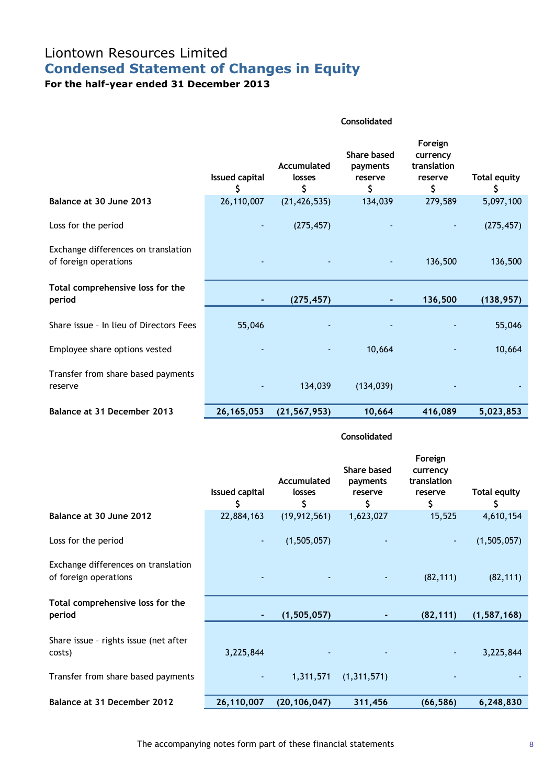# Liontown Resources Limited **Condensed Statement of Changes in Equity**

**For the half-year ended 31 December 2013**

|                                                              | Consolidated               |                             |                                                 |                                                     |                           |
|--------------------------------------------------------------|----------------------------|-----------------------------|-------------------------------------------------|-----------------------------------------------------|---------------------------|
|                                                              | <b>Issued capital</b><br>S | Accumulated<br>losses<br>\$ | <b>Share based</b><br>payments<br>reserve<br>\$ | Foreign<br>currency<br>translation<br>reserve<br>\$ | <b>Total equity</b><br>\$ |
| Balance at 30 June 2013                                      | 26,110,007                 | (21, 426, 535)              | 134,039                                         | 279,589                                             | 5,097,100                 |
| Loss for the period                                          | ٠                          | (275, 457)                  |                                                 |                                                     | (275, 457)                |
| Exchange differences on translation<br>of foreign operations |                            |                             |                                                 | 136,500                                             | 136,500                   |
| Total comprehensive loss for the<br>period                   |                            | (275, 457)                  |                                                 | 136,500                                             | (138, 957)                |
| Share issue - In lieu of Directors Fees                      | 55,046                     |                             |                                                 |                                                     | 55,046                    |
| Employee share options vested                                |                            |                             | 10,664                                          |                                                     | 10,664                    |
| Transfer from share based payments<br>reserve                |                            | 134,039                     | (134, 039)                                      |                                                     |                           |
| Balance at 31 December 2013                                  | 26, 165, 053               | (21, 567, 953)              | 10,664                                          | 416,089                                             | 5,023,853                 |

### **Consolidated**

|                                                              | <b>Issued capital</b><br>\$ | Accumulated<br>losses<br>\$ | Share based<br>payments<br>reserve<br>\$ | Foreign<br>currency<br>translation<br>reserve<br>\$ | <b>Total equity</b><br>\$ |
|--------------------------------------------------------------|-----------------------------|-----------------------------|------------------------------------------|-----------------------------------------------------|---------------------------|
| Balance at 30 June 2012                                      | 22,884,163                  | (19, 912, 561)              | 1,623,027                                | 15,525                                              | 4,610,154                 |
| Loss for the period                                          | $\blacksquare$              | (1,505,057)                 |                                          | $\blacksquare$                                      | (1, 505, 057)             |
| Exchange differences on translation<br>of foreign operations |                             |                             |                                          | (82, 111)                                           | (82, 111)                 |
| Total comprehensive loss for the<br>period                   |                             | (1, 505, 057)               |                                          | (82, 111)                                           | (1, 587, 168)             |
| Share issue - rights issue (net after<br>costs)              | 3,225,844                   |                             |                                          | ٠                                                   | 3,225,844                 |
| Transfer from share based payments                           |                             | 1,311,571                   | (1, 311, 571)                            |                                                     |                           |
| Balance at 31 December 2012                                  | 26,110,007                  | (20, 106, 047)              | 311,456                                  | (66, 586)                                           | 6,248,830                 |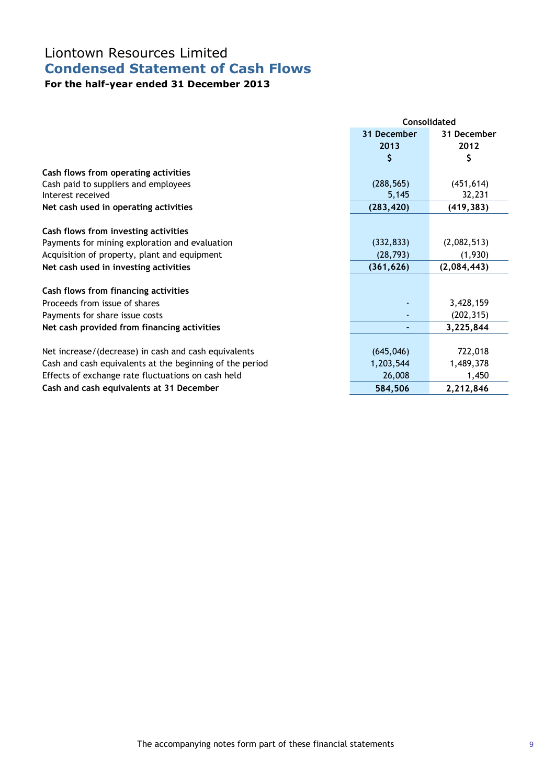## Liontown Resources Limited **Condensed Statement of Cash Flows**

## **For the half-year ended 31 December 2013**

|                                                          | Consolidated |             |  |
|----------------------------------------------------------|--------------|-------------|--|
|                                                          | 31 December  | 31 December |  |
|                                                          | 2013         | 2012        |  |
|                                                          | \$           | \$          |  |
| Cash flows from operating activities                     |              |             |  |
| Cash paid to suppliers and employees                     | (288, 565)   | (451, 614)  |  |
| Interest received                                        | 5,145        | 32,231      |  |
| Net cash used in operating activities                    | (283, 420)   | (419, 383)  |  |
|                                                          |              |             |  |
| Cash flows from investing activities                     |              |             |  |
| Payments for mining exploration and evaluation           | (332, 833)   | (2,082,513) |  |
| Acquisition of property, plant and equipment             | (28, 793)    | (1,930)     |  |
| Net cash used in investing activities                    | (361, 626)   | (2,084,443) |  |
|                                                          |              |             |  |
| Cash flows from financing activities                     |              |             |  |
| Proceeds from issue of shares                            |              | 3,428,159   |  |
| Payments for share issue costs                           |              | (202, 315)  |  |
| Net cash provided from financing activities              |              | 3,225,844   |  |
|                                                          |              |             |  |
| Net increase/(decrease) in cash and cash equivalents     | (645, 046)   | 722,018     |  |
| Cash and cash equivalents at the beginning of the period | 1,203,544    | 1,489,378   |  |
| Effects of exchange rate fluctuations on cash held       | 26,008       | 1,450       |  |
| Cash and cash equivalents at 31 December                 | 584,506      | 2,212,846   |  |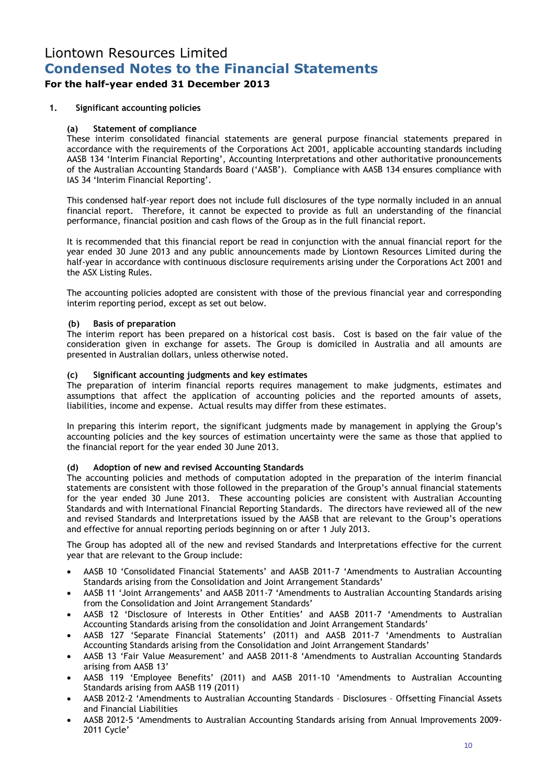## **For the half-year ended 31 December 2013**

## **1. Significant accounting policies**

### **(a) Statement of compliance**

These interim consolidated financial statements are general purpose financial statements prepared in accordance with the requirements of the Corporations Act 2001, applicable accounting standards including AASB 134 'Interim Financial Reporting', Accounting Interpretations and other authoritative pronouncements of the Australian Accounting Standards Board ('AASB'). Compliance with AASB 134 ensures compliance with IAS 34 'Interim Financial Reporting'.

This condensed half-year report does not include full disclosures of the type normally included in an annual financial report. Therefore, it cannot be expected to provide as full an understanding of the financial performance, financial position and cash flows of the Group as in the full financial report.

It is recommended that this financial report be read in conjunction with the annual financial report for the year ended 30 June 2013 and any public announcements made by Liontown Resources Limited during the half-year in accordance with continuous disclosure requirements arising under the Corporations Act 2001 and the ASX Listing Rules.

The accounting policies adopted are consistent with those of the previous financial year and corresponding interim reporting period, except as set out below.

### **(b) Basis of preparation**

The interim report has been prepared on a historical cost basis. Cost is based on the fair value of the consideration given in exchange for assets. The Group is domiciled in Australia and all amounts are presented in Australian dollars, unless otherwise noted.

### **(c) Significant accounting judgments and key estimates**

The preparation of interim financial reports requires management to make judgments, estimates and assumptions that affect the application of accounting policies and the reported amounts of assets, liabilities, income and expense. Actual results may differ from these estimates.

In preparing this interim report, the significant judgments made by management in applying the Group's accounting policies and the key sources of estimation uncertainty were the same as those that applied to the financial report for the year ended 30 June 2013.

### **(d) Adoption of new and revised Accounting Standards**

The accounting policies and methods of computation adopted in the preparation of the interim financial statements are consistent with those followed in the preparation of the Group's annual financial statements for the year ended 30 June 2013. These accounting policies are consistent with Australian Accounting Standards and with International Financial Reporting Standards. The directors have reviewed all of the new and revised Standards and Interpretations issued by the AASB that are relevant to the Group's operations and effective for annual reporting periods beginning on or after 1 July 2013.

The Group has adopted all of the new and revised Standards and Interpretations effective for the current year that are relevant to the Group include:

- AASB 10 'Consolidated Financial Statements' and AASB 2011-7 'Amendments to Australian Accounting Standards arising from the Consolidation and Joint Arrangement Standards'
- AASB 11 'Joint Arrangements' and AASB 2011-7 'Amendments to Australian Accounting Standards arising from the Consolidation and Joint Arrangement Standards'
- AASB 12 'Disclosure of Interests in Other Entities' and AASB 2011-7 'Amendments to Australian Accounting Standards arising from the consolidation and Joint Arrangement Standards'
- AASB 127 'Separate Financial Statements' (2011) and AASB 2011-7 'Amendments to Australian Accounting Standards arising from the Consolidation and Joint Arrangement Standards'
- AASB 13 'Fair Value Measurement' and AASB 2011-8 'Amendments to Australian Accounting Standards arising from AASB 13'
- AASB 119 'Employee Benefits' (2011) and AASB 2011-10 'Amendments to Australian Accounting Standards arising from AASB 119 (2011)
- AASB 2012-2 'Amendments to Australian Accounting Standards Disclosures Offsetting Financial Assets and Financial Liabilities
- AASB 2012-5 'Amendments to Australian Accounting Standards arising from Annual Improvements 2009- 2011 Cycle'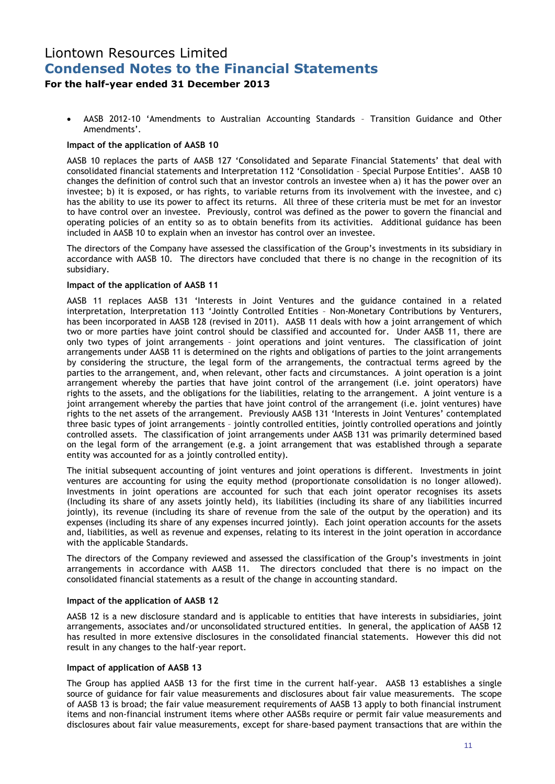## **For the half-year ended 31 December 2013**

 AASB 2012-10 'Amendments to Australian Accounting Standards – Transition Guidance and Other Amendments'.

### **Impact of the application of AASB 10**

AASB 10 replaces the parts of AASB 127 'Consolidated and Separate Financial Statements' that deal with consolidated financial statements and Interpretation 112 'Consolidation – Special Purpose Entities'. AASB 10 changes the definition of control such that an investor controls an investee when a) it has the power over an investee; b) it is exposed, or has rights, to variable returns from its involvement with the investee, and c) has the ability to use its power to affect its returns. All three of these criteria must be met for an investor to have control over an investee. Previously, control was defined as the power to govern the financial and operating policies of an entity so as to obtain benefits from its activities. Additional guidance has been included in AASB 10 to explain when an investor has control over an investee.

The directors of the Company have assessed the classification of the Group's investments in its subsidiary in accordance with AASB 10. The directors have concluded that there is no change in the recognition of its subsidiary.

### **Impact of the application of AASB 11**

AASB 11 replaces AASB 131 'Interests in Joint Ventures and the guidance contained in a related interpretation, Interpretation 113 'Jointly Controlled Entities – Non-Monetary Contributions by Venturers, has been incorporated in AASB 128 (revised in 2011). AASB 11 deals with how a joint arrangement of which two or more parties have joint control should be classified and accounted for. Under AASB 11, there are only two types of joint arrangements – joint operations and joint ventures. The classification of joint arrangements under AASB 11 is determined on the rights and obligations of parties to the joint arrangements by considering the structure, the legal form of the arrangements, the contractual terms agreed by the parties to the arrangement, and, when relevant, other facts and circumstances. A joint operation is a joint arrangement whereby the parties that have joint control of the arrangement (i.e. joint operators) have rights to the assets, and the obligations for the liabilities, relating to the arrangement. A joint venture is a joint arrangement whereby the parties that have joint control of the arrangement (i.e. joint ventures) have rights to the net assets of the arrangement. Previously AASB 131 'Interests in Joint Ventures' contemplated three basic types of joint arrangements – jointly controlled entities, jointly controlled operations and jointly controlled assets. The classification of joint arrangements under AASB 131 was primarily determined based on the legal form of the arrangement (e.g. a joint arrangement that was established through a separate entity was accounted for as a jointly controlled entity).

The initial subsequent accounting of joint ventures and joint operations is different. Investments in joint ventures are accounting for using the equity method (proportionate consolidation is no longer allowed). Investments in joint operations are accounted for such that each joint operator recognises its assets (Including its share of any assets jointly held), its liabilities (including its share of any liabilities incurred jointly), its revenue (including its share of revenue from the sale of the output by the operation) and its expenses (including its share of any expenses incurred jointly). Each joint operation accounts for the assets and, liabilities, as well as revenue and expenses, relating to its interest in the joint operation in accordance with the applicable Standards.

The directors of the Company reviewed and assessed the classification of the Group's investments in joint arrangements in accordance with AASB 11. The directors concluded that there is no impact on the consolidated financial statements as a result of the change in accounting standard.

### **Impact of the application of AASB 12**

AASB 12 is a new disclosure standard and is applicable to entities that have interests in subsidiaries, joint arrangements, associates and/or unconsolidated structured entities. In general, the application of AASB 12 has resulted in more extensive disclosures in the consolidated financial statements. However this did not result in any changes to the half-year report.

### **Impact of application of AASB 13**

The Group has applied AASB 13 for the first time in the current half-year. AASB 13 establishes a single source of guidance for fair value measurements and disclosures about fair value measurements. The scope of AASB 13 is broad; the fair value measurement requirements of AASB 13 apply to both financial instrument items and non-financial instrument items where other AASBs require or permit fair value measurements and disclosures about fair value measurements, except for share-based payment transactions that are within the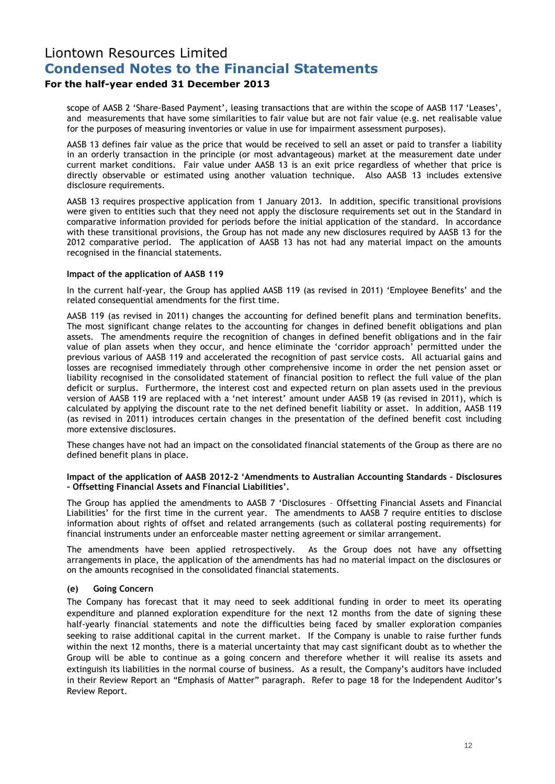## **For the half-year ended 31 December 2013**

scope of AASB 2 'Share-Based Payment', leasing transactions that are within the scope of AASB 117 'Leases', and measurements that have some similarities to fair value but are not fair value (e.g. net realisable value for the purposes of measuring inventories or value in use for impairment assessment purposes).

AASB 13 defines fair value as the price that would be received to sell an asset or paid to transfer a liability in an orderly transaction in the principle (or most advantageous) market at the measurement date under current market conditions. Fair value under AASB 13 is an exit price regardless of whether that price is directly observable or estimated using another valuation technique. Also AASB 13 includes extensive disclosure requirements.

AASB 13 requires prospective application from 1 January 2013. In addition, specific transitional provisions were given to entities such that they need not apply the disclosure requirements set out in the Standard in comparative information provided for periods before the initial application of the standard. In accordance with these transitional provisions, the Group has not made any new disclosures required by AASB 13 for the 2012 comparative period. The application of AASB 13 has not had any material impact on the amounts recognised in the financial statements.

### **Impact of the application of AASB 119**

In the current half-year, the Group has applied AASB 119 (as revised in 2011) 'Employee Benefits' and the related consequential amendments for the first time.

AASB 119 (as revised in 2011) changes the accounting for defined benefit plans and termination benefits. The most significant change relates to the accounting for changes in defined benefit obligations and plan assets. The amendments require the recognition of changes in defined benefit obligations and in the fair value of plan assets when they occur, and hence eliminate the 'corridor approach' permitted under the previous various of AASB 119 and accelerated the recognition of past service costs. All actuarial gains and losses are recognised immediately through other comprehensive income in order the net pension asset or liability recognised in the consolidated statement of financial position to reflect the full value of the plan deficit or surplus. Furthermore, the interest cost and expected return on plan assets used in the previous version of AASB 119 are replaced with a 'net interest' amount under AASB 19 (as revised in 2011), which is calculated by applying the discount rate to the net defined benefit liability or asset. In addition, AASB 119 (as revised in 2011) introduces certain changes in the presentation of the defined benefit cost including more extensive disclosures.

These changes have not had an impact on the consolidated financial statements of the Group as there are no defined benefit plans in place.

### **Impact of the application of AASB 2012-2 'Amendments to Australian Accounting Standards – Disclosures – Offsetting Financial Assets and Financial Liabilities'.**

The Group has applied the amendments to AASB 7 'Disclosures – Offsetting Financial Assets and Financial Liabilities' for the first time in the current year. The amendments to AASB 7 require entities to disclose information about rights of offset and related arrangements (such as collateral posting requirements) for financial instruments under an enforceable master netting agreement or similar arrangement.

The amendments have been applied retrospectively. As the Group does not have any offsetting arrangements in place, the application of the amendments has had no material impact on the disclosures or on the amounts recognised in the consolidated financial statements.

## **(e) Going Concern**

The Company has forecast that it may need to seek additional funding in order to meet its operating expenditure and planned exploration expenditure for the next 12 months from the date of signing these half-yearly financial statements and note the difficulties being faced by smaller exploration companies seeking to raise additional capital in the current market. If the Company is unable to raise further funds within the next 12 months, there is a material uncertainty that may cast significant doubt as to whether the Group will be able to continue as a going concern and therefore whether it will realise its assets and extinguish its liabilities in the normal course of business. As a result, the Company's auditors have included in their Review Report an "Emphasis of Matter" paragraph. Refer to page 18 for the Independent Auditor's Review Report.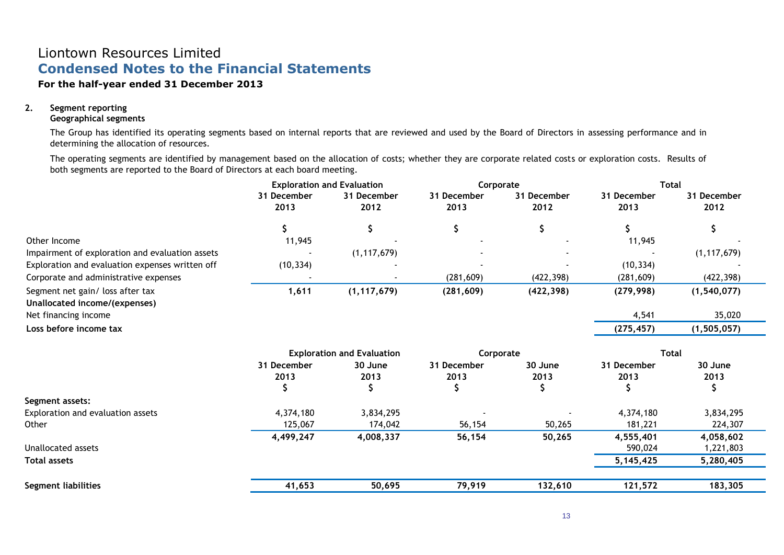## **For the half-year ended 31 December 2013**

## **2. Segment reporting**

### **Geographical segments**

The Group has identified its operating segments based on internal reports that are reviewed and used by the Board of Directors in assessing performance and in determining the allocation of resources.

The operating segments are identified by management based on the allocation of costs; whether they are corporate related costs or exploration costs. Results of both segments are reported to the Board of Directors at each board meeting.

|                                                                   | <b>Exploration and Evaluation</b> |                                   | Corporate           |                     | <b>Total</b>        |                     |
|-------------------------------------------------------------------|-----------------------------------|-----------------------------------|---------------------|---------------------|---------------------|---------------------|
|                                                                   | 31 December<br>2013               | 31 December<br>2012               | 31 December<br>2013 | 31 December<br>2012 | 31 December<br>2013 | 31 December<br>2012 |
|                                                                   | \$                                | \$                                | \$                  | \$                  |                     | \$                  |
| Other Income                                                      | 11,945                            |                                   |                     |                     | 11,945              |                     |
| Impairment of exploration and evaluation assets                   |                                   | (1, 117, 679)                     |                     |                     |                     | (1, 117, 679)       |
| Exploration and evaluation expenses written off                   | (10, 334)                         |                                   |                     |                     | (10, 334)           |                     |
| Corporate and administrative expenses                             |                                   |                                   | (281, 609)          | (422, 398)          | (281, 609)          | (422, 398)          |
| Segment net gain/ loss after tax<br>Unallocated income/(expenses) | 1,611                             | (1, 117, 679)                     | (281, 609)          | (422, 398)          | (279, 998)          | (1, 540, 077)       |
| Net financing income                                              |                                   |                                   |                     |                     | 4,541               | 35,020              |
| Loss before income tax                                            |                                   |                                   |                     |                     | (275, 457)          | (1, 505, 057)       |
|                                                                   |                                   | <b>Exploration and Evaluation</b> | Corporate           |                     | <b>Total</b>        |                     |
|                                                                   | 31 December<br>2013               | 30 June<br>2013                   | 31 December<br>2013 | 30 June<br>2013     | 31 December<br>2013 | 30 June<br>2013     |
| Segment assets:                                                   |                                   |                                   |                     |                     |                     |                     |
| Exploration and evaluation assets                                 | 4,374,180                         | 3,834,295                         |                     |                     | 4,374,180           | 3,834,295           |
| Other                                                             | 125,067                           | 174,042                           | 56,154              | 50,265              | 181,221             | 224,307             |
|                                                                   | 4,499,247                         | 4,008,337                         | 56,154              | 50,265              | 4,555,401           | 4,058,602           |
| Unallocated assets                                                |                                   |                                   |                     |                     | 590,024             | 1,221,803           |
| <b>Total assets</b>                                               |                                   |                                   |                     |                     | 5, 145, 425         | 5,280,405           |
| <b>Segment liabilities</b>                                        | 41,653                            | 50,695                            | 79,919              | 132,610             | 121,572             | 183,305             |
|                                                                   |                                   |                                   |                     |                     |                     |                     |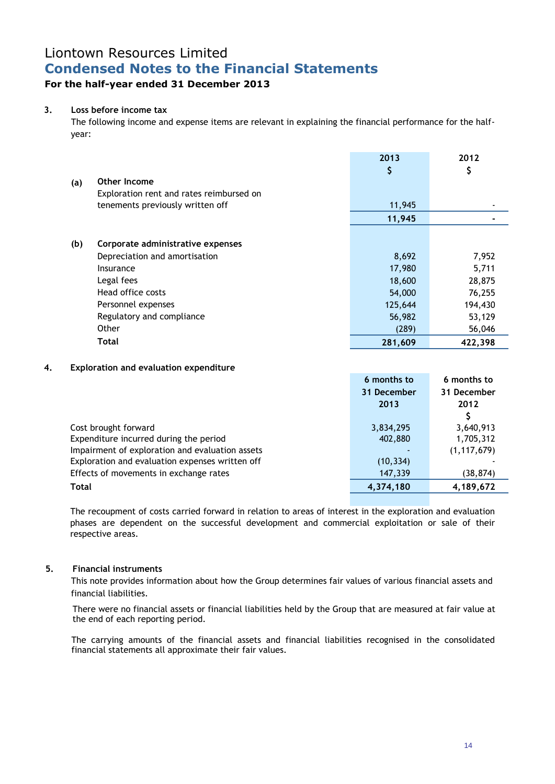## **For the half-year ended 31 December 2013**

## **3. Loss before income tax**

The following income and expense items are relevant in explaining the financial performance for the halfyear:

|     |                                          | 2013<br>\$ | 2012<br>\$ |
|-----|------------------------------------------|------------|------------|
| (a) | Other Income                             |            |            |
|     | Exploration rent and rates reimbursed on |            |            |
|     | tenements previously written off         | 11,945     |            |
|     |                                          | 11,945     |            |
|     |                                          |            |            |
| (b) | Corporate administrative expenses        |            |            |
|     | Depreciation and amortisation            | 8,692      | 7,952      |
|     | Insurance                                | 17,980     | 5,711      |
|     | Legal fees                               | 18,600     | 28,875     |
|     | Head office costs                        | 54,000     | 76,255     |
|     | Personnel expenses                       | 125,644    | 194,430    |
|     | Regulatory and compliance                | 56,982     | 53,129     |
|     | Other                                    | (289)      | 56,046     |
|     | <b>Total</b>                             | 281,609    | 422,398    |

### **4. Exploration and evaluation expenditure**

|                                                 | 6 months to | 6 months to   |
|-------------------------------------------------|-------------|---------------|
|                                                 | 31 December | 31 December   |
|                                                 | 2013        | 2012          |
|                                                 |             |               |
| Cost brought forward                            | 3,834,295   | 3,640,913     |
| Expenditure incurred during the period          | 402,880     | 1,705,312     |
| Impairment of exploration and evaluation assets |             | (1, 117, 679) |
| Exploration and evaluation expenses written off | (10, 334)   |               |
| Effects of movements in exchange rates          | 147,339     | (38, 874)     |
| <b>Total</b>                                    | 4,374,180   | 4,189,672     |

The recoupment of costs carried forward in relation to areas of interest in the exploration and evaluation phases are dependent on the successful development and commercial exploitation or sale of their respective areas.

## **5. Financial instruments**

This note provides information about how the Group determines fair values of various financial assets and financial liabilities.

There were no financial assets or financial liabilities held by the Group that are measured at fair value at the end of each reporting period.

The carrying amounts of the financial assets and financial liabilities recognised in the consolidated financial statements all approximate their fair values.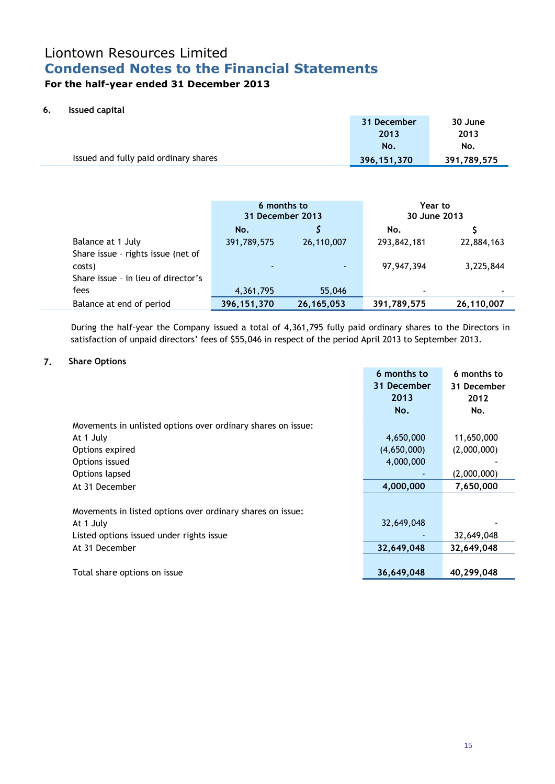## Liontown Resources Limited **Condensed Notes to the Financial Statements For the half-year ended 31 December 2013**

## **6. Issued capital**

|                                       | 31 December<br>2013 | 30 June<br>2013 |
|---------------------------------------|---------------------|-----------------|
|                                       | No.                 | No.             |
| Issued and fully paid ordinary shares | 396,151,370         | 391,789,575     |

|                                     | 6 months to<br>31 December 2013 |              | Year to<br>30 June 2013 |            |
|-------------------------------------|---------------------------------|--------------|-------------------------|------------|
|                                     | No.                             |              | No.                     |            |
| Balance at 1 July                   | 391,789,575                     | 26,110,007   | 293,842,181             | 22,884,163 |
| Share issue - rights issue (net of  |                                 |              |                         |            |
| costs)                              |                                 |              | 97,947,394              | 3,225,844  |
| Share issue - in lieu of director's |                                 |              |                         |            |
| fees                                | 4,361,795                       | 55,046       | ۰                       |            |
| Balance at end of period            | 396, 151, 370                   | 26, 165, 053 | 391,789,575             | 26,110,007 |

During the half-year the Company issued a total of 4,361,795 fully paid ordinary shares to the Directors in satisfaction of unpaid directors' fees of \$55,046 in respect of the period April 2013 to September 2013.

## **7. Share Options**

|                                                              | 6 months to | 6 months to |
|--------------------------------------------------------------|-------------|-------------|
|                                                              | 31 December | 31 December |
|                                                              | 2013        | 2012        |
|                                                              | No.         | No.         |
| Movements in unlisted options over ordinary shares on issue: |             |             |
| At 1 July                                                    | 4,650,000   | 11,650,000  |
| Options expired                                              | (4,650,000) | (2,000,000) |
| Options issued                                               | 4,000,000   |             |
| Options lapsed                                               |             | (2,000,000) |
| At 31 December                                               | 4,000,000   | 7,650,000   |
|                                                              |             |             |
| Movements in listed options over ordinary shares on issue:   |             |             |
| At 1 July                                                    | 32,649,048  |             |
| Listed options issued under rights issue                     |             | 32,649,048  |
| At 31 December                                               | 32,649,048  | 32,649,048  |
|                                                              |             |             |
| Total share options on issue                                 | 36,649,048  | 40,299,048  |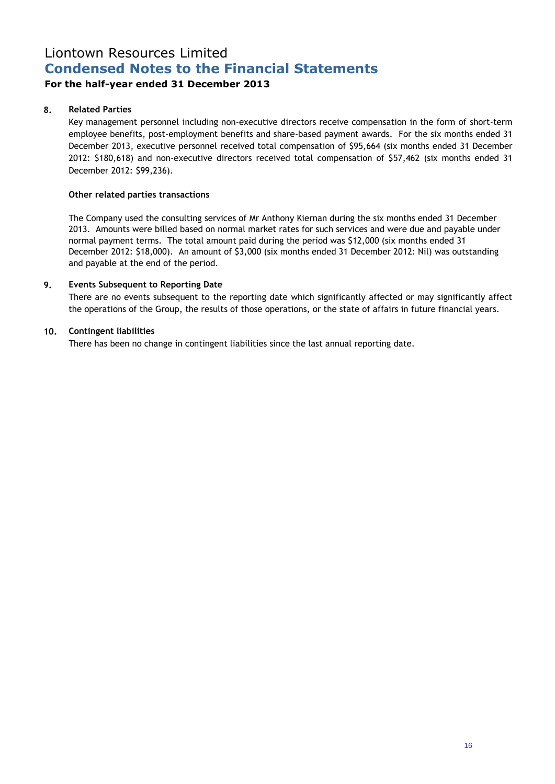## **For the half-year ended 31 December 2013**

## **8. Related Parties**

Key management personnel including non-executive directors receive compensation in the form of short-term employee benefits, post-employment benefits and share-based payment awards. For the six months ended 31 December 2013, executive personnel received total compensation of \$95,664 (six months ended 31 December 2012: \$180,618) and non-executive directors received total compensation of \$57,462 (six months ended 31 December 2012: \$99,236).

## **Other related parties transactions**

The Company used the consulting services of Mr Anthony Kiernan during the six months ended 31 December 2013. Amounts were billed based on normal market rates for such services and were due and payable under normal payment terms. The total amount paid during the period was \$12,000 (six months ended 31 December 2012: \$18,000). An amount of \$3,000 (six months ended 31 December 2012: Nil) was outstanding and payable at the end of the period.

## **9. Events Subsequent to Reporting Date**

There are no events subsequent to the reporting date which significantly affected or may significantly affect the operations of the Group, the results of those operations, or the state of affairs in future financial years.

## **10. Contingent liabilities**

There has been no change in contingent liabilities since the last annual reporting date.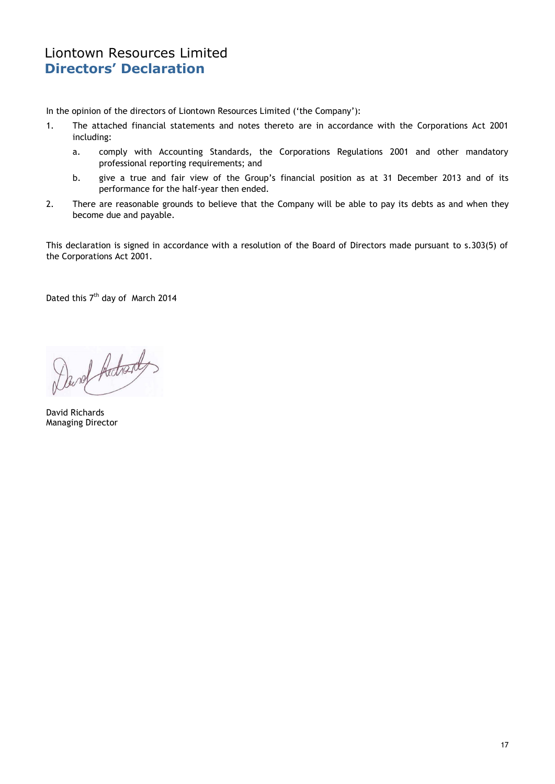## Liontown Resources Limited **Directors' Declaration**

In the opinion of the directors of Liontown Resources Limited ('the Company'):

- 1. The attached financial statements and notes thereto are in accordance with the Corporations Act 2001 including:
	- a. comply with Accounting Standards, the Corporations Regulations 2001 and other mandatory professional reporting requirements; and
	- b. give a true and fair view of the Group's financial position as at 31 December 2013 and of its performance for the half-year then ended.
- 2. There are reasonable grounds to believe that the Company will be able to pay its debts as and when they become due and payable.

This declaration is signed in accordance with a resolution of the Board of Directors made pursuant to s.303(5) of the Corporations Act 2001.

Dated this 7<sup>th</sup> day of March 2014

Durch Archards

David Richards Managing Director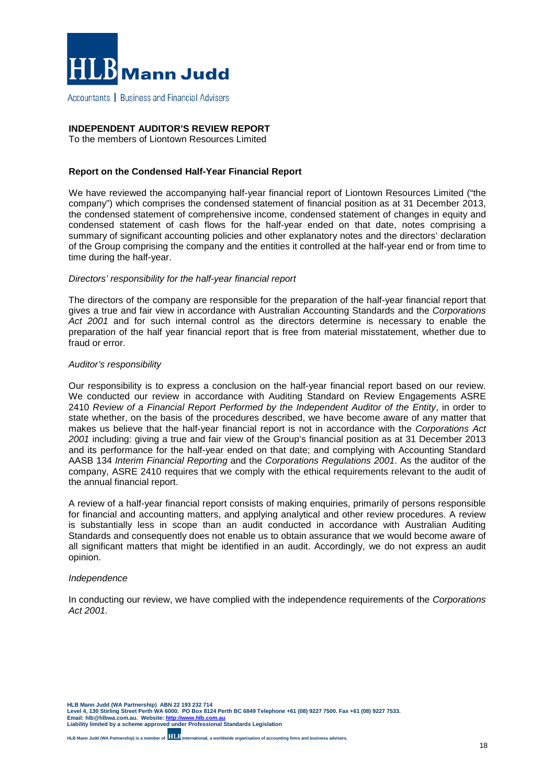

Accountants | Business and Financial Advisers

### **INDEPENDENT AUDITOR'S REVIEW REPORT**

To the members of Liontown Resources Limited

### **Report on the Condensed Half-Year Financial Report**

We have reviewed the accompanying half-year financial report of Liontown Resources Limited ("the company") which comprises the condensed statement of financial position as at 31 December 2013, the condensed statement of comprehensive income, condensed statement of changes in equity and condensed statement of cash flows for the half-year ended on that date, notes comprising a summary of significant accounting policies and other explanatory notes and the directors' declaration of the Group comprising the company and the entities it controlled at the half-year end or from time to time during the half-year.

#### *Directors' responsibility for the half-year financial report*

The directors of the company are responsible for the preparation of the half-year financial report that gives a true and fair view in accordance with Australian Accounting Standards and the *Corporations Act 2001* and for such internal control as the directors determine is necessary to enable the preparation of the half year financial report that is free from material misstatement, whether due to fraud or error.

#### *Auditor's responsibility*

Our responsibility is to express a conclusion on the half-year financial report based on our review. We conducted our review in accordance with Auditing Standard on Review Engagements ASRE 2410 *Review of a Financial Report Performed by the Independent Auditor of the Entity*, in order to state whether, on the basis of the procedures described, we have become aware of any matter that makes us believe that the half-year financial report is not in accordance with the *Corporations Act 2001* including: giving a true and fair view of the Group's financial position as at 31 December 2013 and its performance for the half-year ended on that date; and complying with Accounting Standard AASB 134 *Interim Financial Reporting* and the *Corporations Regulations 2001*. As the auditor of the company, ASRE 2410 requires that we comply with the ethical requirements relevant to the audit of the annual financial report.

A review of a half-year financial report consists of making enquiries, primarily of persons responsible for financial and accounting matters, and applying analytical and other review procedures. A review is substantially less in scope than an audit conducted in accordance with Australian Auditing Standards and consequently does not enable us to obtain assurance that we would become aware of all significant matters that might be identified in an audit. Accordingly, we do not express an audit opinion.

#### *Independence*

In conducting our review, we have complied with the independence requirements of the *Corporations Act 2001*.

**HLB Mann Judd (WA Partnership) ABN 22 193 232 714 Level 4, 130 Stirling Street Perth WA 6000. PO Box 8124 Perth BC 6849 Telephone +61 (08) 9227 7500. Fax +61 (08) 9227 7533. Email: hlb@hlbwa.com.au. Website[: http://www.hlb.com.au](http://www.hlb.com.au/) Liability limited by a scheme approved under Professional Standards Legislation**

**HLB Mann Judd (WA Partnership) is a member of International, a worldwide organisation of accounting firms and business advisers.**